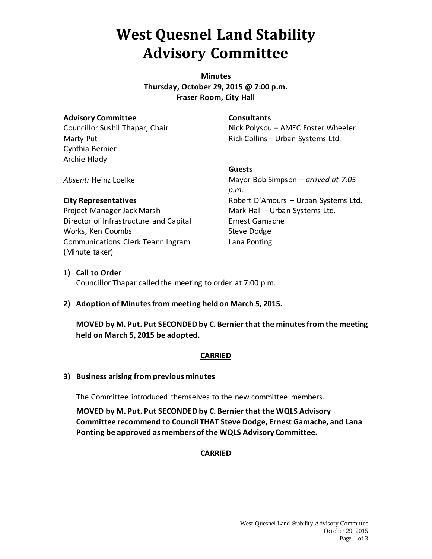# **West Quesnel Land Stability Advisory Committee**

**Minutes Thursday, October 29, 2015 @ 7:00 p.m. Fraser Room, City Hall**

### **Advisory Committee**

Councillor Sushil Thapar, Chair Marty Put Cynthia Bernier Archie Hlady

### **Consultants**

Nick Polysou – AMEC Foster Wheeler Rick Collins – Urban Systems Ltd.

*Absent:* Heinz Loelke

### **City Representatives**

Project Manager Jack Marsh Director of Infrastructure and Capital Works, Ken Coombs Communications Clerk Teann Ingram (Minute taker)

### **Guests** Mayor Bob Simpson – *arrived at 7:05 p.m.* Robert D'Amours – Urban Systems Ltd. Mark Hall – Urban Systems Ltd. Ernest Gamache Steve Dodge Lana Ponting

### **1) Call to Order**

Councillor Thapar called the meeting to order at 7:00 p.m.

### **2) Adoption of Minutes from meeting held on March 5, 2015.**

**MOVED by M. Put. Put SECONDED by C. Bernier that the minutes from the meeting held on March 5, 2015 be adopted.**

### **CARRIED**

### **3) Business arising from previous minutes**

The Committee introduced themselves to the new committee members.

**MOVED by M. Put. Put SECONDED by C. Bernier that the WQLS Advisory Committee recommend to Council THAT Steve Dodge, Ernest Gamache, and Lana Ponting be approved as members of the WQLS Advisory Committee.** 

### **CARRIED**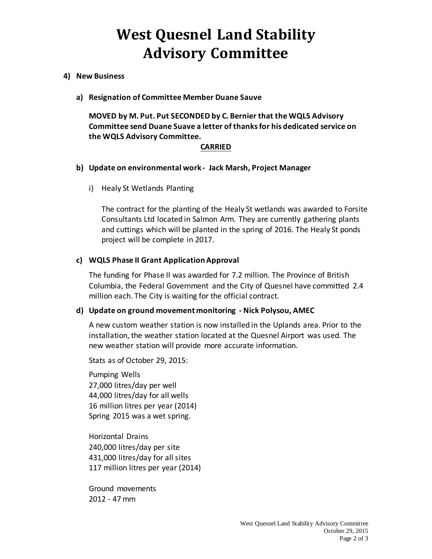# **West Quesnel Land Stability Advisory Committee**

### **4) New Business**

**a) Resignation of Committee Member Duane Sauve**

**MOVED by M. Put. Put SECONDED by C. Bernier that the WQLS Advisory Committee send Duane Suave a letter of thanks for his dedicated service on the WQLS Advisory Committee.**

### **CARRIED**

#### **b) Update on environmental work - Jack Marsh, Project Manager**

i) Healy St Wetlands Planting

The contract for the planting of the Healy St wetlands was awarded to Forsite Consultants Ltd located in Salmon Arm. They are currently gathering plants and cuttings which will be planted in the spring of 2016. The Healy St ponds project will be complete in 2017.

### **c) WQLS Phase II Grant Application Approval**

The funding for Phase II was awarded for 7.2 million. The Province of British Columbia, the Federal Government and the City of Quesnel have committed 2.4 million each. The City is waiting for the official contract.

#### **d) Update on ground movement monitoring - Nick Polysou, AMEC**

A new custom weather station is now installed in the Uplands area. Prior to the installation, the weather station located at the Quesnel Airport was used. The new weather station will provide more accurate information.

Stats as of October 29, 2015:

Pumping Wells 27,000 litres/day per well 44,000 litres/day for all wells 16 million litres per year (2014) Spring 2015 was a wet spring.

Horizontal Drains 240,000 litres/day per site 431,000 litres/day for all sites 117 million litres per year (2014)

Ground movements 2012 - 47 mm